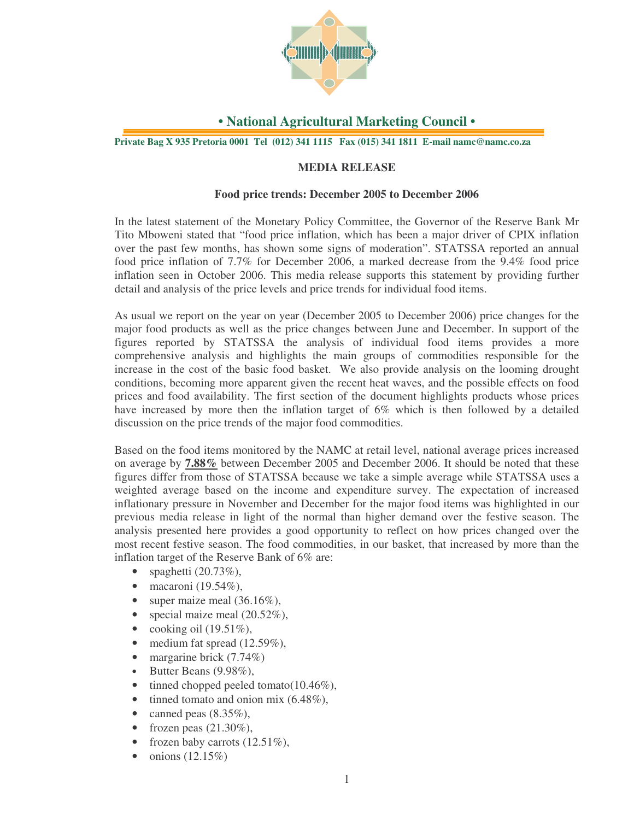

## **• National Agricultural Marketing Council •**

**Private Bag X 935 Pretoria 0001 Tel (012) 341 1115 Fax (015) 341 1811 E-mail namc@namc.co.za**

### **MEDIA RELEASE**

### **Food price trends: December 2005 to December 2006**

In the latest statement of the Monetary Policy Committee, the Governor of the Reserve Bank Mr Tito Mboweni stated that "food price inflation, which has been a major driver of CPIX inflation over the past few months, has shown some signs of moderation". STATSSA reported an annual food price inflation of 7.7% for December 2006, a marked decrease from the 9.4% food price inflation seen in October 2006. This media release supports this statement by providing further detail and analysis of the price levels and price trends for individual food items.

As usual we report on the year on year (December 2005 to December 2006) price changes for the major food products as well as the price changes between June and December. In support of the figures reported by STATSSA the analysis of individual food items provides a more comprehensive analysis and highlights the main groups of commodities responsible for the increase in the cost of the basic food basket. We also provide analysis on the looming drought conditions, becoming more apparent given the recent heat waves, and the possible effects on food prices and food availability. The first section of the document highlights products whose prices have increased by more then the inflation target of 6% which is then followed by a detailed discussion on the price trends of the major food commodities.

Based on the food items monitored by the NAMC at retail level, national average prices increased on average by **7.88%** between December 2005 and December 2006. It should be noted that these figures differ from those of STATSSA because we take a simple average while STATSSA uses a weighted average based on the income and expenditure survey. The expectation of increased inflationary pressure in November and December for the major food items was highlighted in our previous media release in light of the normal than higher demand over the festive season. The analysis presented here provides a good opportunity to reflect on how prices changed over the most recent festive season. The food commodities, in our basket, that increased by more than the inflation target of the Reserve Bank of 6% are:

- spaghetti  $(20.73\%),$
- macaroni (19.54%),
- super maize meal  $(36.16\%)$ ,
- special maize meal  $(20.52\%)$ ,
- cooking oil  $(19.51\%)$ ,
- medium fat spread  $(12.59\%),$
- margarine brick (7.74%)
- Butter Beans (9.98%),
- tinned chopped peeled tomato( $10.46\%$ ),
- tinned tomato and onion mix  $(6.48\%),$
- canned peas  $(8.35\%)$ ,
- frozen peas  $(21.30\%)$ ,
- frozen baby carrots  $(12.51\%)$ ,
- $\bullet$  onions (12.15%)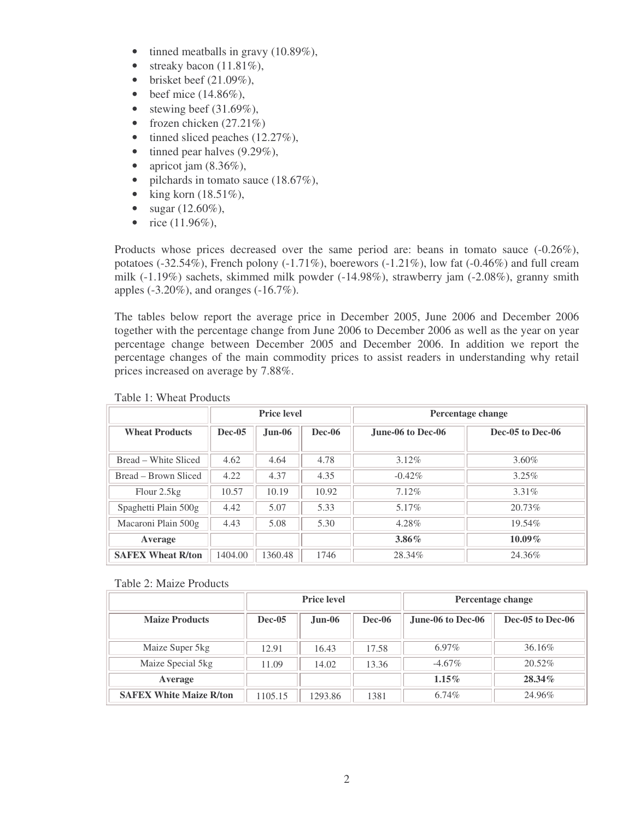- tinned meatballs in gravy  $(10.89\%),$
- streaky bacon  $(11.81\%)$ ,
- brisket beef  $(21.09\%)$ ,
- beef mice  $(14.86\%),$
- stewing beef  $(31.69\%)$ ,
- frozen chicken  $(27.21\%)$
- tinned sliced peaches  $(12.27\%)$ ,
- tinned pear halves  $(9.29\%),$
- apricot jam  $(8.36\%)$ ,
- pilchards in tomato sauce  $(18.67\%)$ ,
- king korn  $(18.51\%),$
- sugar (12.60%),
- rice  $(11.96\%),$

Products whose prices decreased over the same period are: beans in tomato sauce (-0.26%), potatoes (-32.54%), French polony (-1.71%), boerewors (-1.21%), low fat (-0.46%) and full cream milk (-1.19%) sachets, skimmed milk powder (-14.98%), strawberry jam (-2.08%), granny smith apples (-3.20%), and oranges (-16.7%).

The tables below report the average price in December 2005, June 2006 and December 2006 together with the percentage change from June 2006 to December 2006 as well as the year on year percentage change between December 2005 and December 2006. In addition we report the percentage changes of the main commodity prices to assist readers in understanding why retail prices increased on average by 7.88%.

|                          | <b>Price level</b> |          |        | Percentage change |                  |  |
|--------------------------|--------------------|----------|--------|-------------------|------------------|--|
| <b>Wheat Products</b>    | <b>Dec-05</b>      | $Jun-06$ | Dec-06 | June-06 to Dec-06 | Dec-05 to Dec-06 |  |
| Bread – White Sliced     | 4.62               | 4.64     | 4.78   | $3.12\%$          | 3.60%            |  |
| Bread – Brown Sliced     | 4.22               | 4.37     | 4.35   | $-0.42\%$         | $3.25\%$         |  |
| Flour 2.5kg              | 10.57              | 10.19    | 10.92  | 7.12%             | 3.31%            |  |
| Spaghetti Plain 500g     | 4.42               | 5.07     | 5.33   | $5.17\%$          | 20.73%           |  |
| Macaroni Plain 500g      | 4.43               | 5.08     | 5.30   | 4.28%             | 19.54%           |  |
| Average                  |                    |          |        | $3.86\%$          | $10.09\%$        |  |
| <b>SAFEX Wheat R/ton</b> | 1404.00            | 1360.48  | 1746   | 28.34%            | 24.36%           |  |

### Table 1: Wheat Products

Table 2: Maize Products

|                                |          | <b>Price level</b> |        | Percentage change |                  |  |
|--------------------------------|----------|--------------------|--------|-------------------|------------------|--|
| <b>Maize Products</b>          | $Dec-05$ | $Jun-06$           | Dec-06 | June-06 to Dec-06 | Dec-05 to Dec-06 |  |
| Maize Super 5 kg               | 12.91    | 16.43              | 17.58  | $6.97\%$          | 36.16\%          |  |
| Maize Special 5kg              | 11.09    | 14.02              | 13.36  | $-4.67\%$         | $20.52\%$        |  |
| Average                        |          |                    |        | $1.15\%$          | $28.34\%$        |  |
| <b>SAFEX White Maize R/ton</b> | 1105.15  | 1293.86            | 1381   | 6.74%             | 24.96%           |  |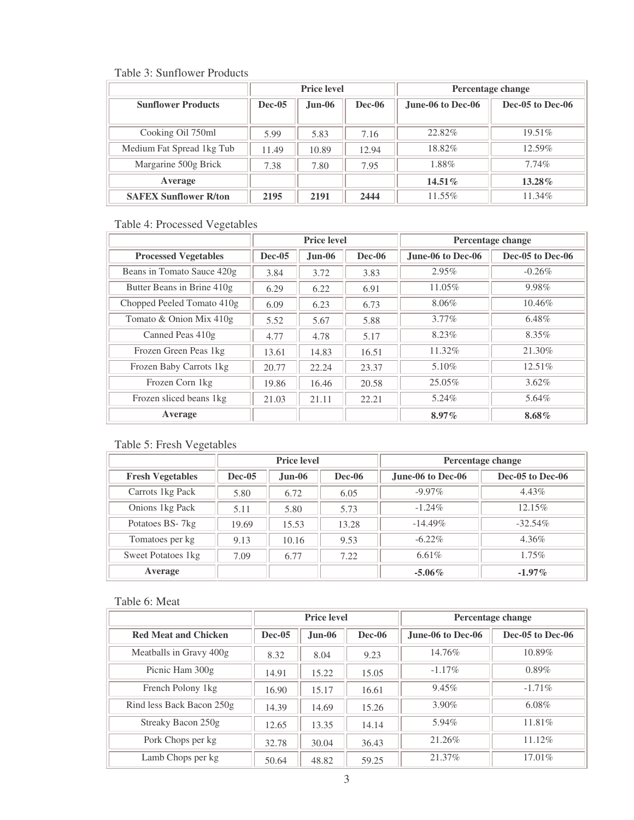### Table 3: Sunflower Products

|                              | <b>Price level</b> |          |               | Percentage change |                  |  |
|------------------------------|--------------------|----------|---------------|-------------------|------------------|--|
| <b>Sunflower Products</b>    | <b>Dec-05</b>      | $Jun-06$ | <b>Dec-06</b> | June-06 to Dec-06 | Dec-05 to Dec-06 |  |
|                              |                    |          |               |                   |                  |  |
| Cooking Oil 750ml            | 5.99               | 5.83     | 7.16          | 22.82%            | $19.51\%$        |  |
| Medium Fat Spread 1kg Tub    | 11.49              | 10.89    | 12.94         | 18.82%            | $12.59\%$        |  |
| Margarine 500g Brick         | 7.38               | 7.80     | 7.95          | 1.88%             | 7.74%            |  |
| Average                      |                    |          |               | 14.51%            | $13.28\%$        |  |
| <b>SAFEX Sunflower R/ton</b> | 2195               | 2191     | 2444          | 11.55%            | 11.34%           |  |

## Table 4: Processed Vegetables

|                             | <b>Price level</b> |          |        | Percentage change |                  |
|-----------------------------|--------------------|----------|--------|-------------------|------------------|
| <b>Processed Vegetables</b> | $Dec-05$           | $Jun-06$ | Dec-06 | June-06 to Dec-06 | Dec-05 to Dec-06 |
| Beans in Tomato Sauce 420g  | 3.84               | 3.72     | 3.83   | 2.95%             | $-0.26\%$        |
| Butter Beans in Brine 410g  | 6.29               | 6.22     | 6.91   | 11.05%            | 9.98%            |
| Chopped Peeled Tomato 410g  | 6.09               | 6.23     | 6.73   | 8.06%             | $10.46\%$        |
| Tomato & Onion Mix 410g     | 5.52               | 5.67     | 5.88   | $3.77\%$          | 6.48%            |
| Canned Peas 410g            | 4.77               | 4.78     | 5.17   | 8.23%             | 8.35%            |
| Frozen Green Peas 1kg       | 13.61              | 14.83    | 16.51  | 11.32%            | $21.30\%$        |
| Frozen Baby Carrots 1kg     | 20.77              | 22.24    | 23.37  | $5.10\%$          | $12.51\%$        |
| Frozen Corn 1kg             | 19.86              | 16.46    | 20.58  | 25.05%            | $3.62\%$         |
| Frozen sliced beans 1kg     | 21.03              | 21.11    | 22.21  | 5.24%             | 5.64%            |
| Average                     |                    |          |        | $8.97\%$          | $8.68\%$         |

## Table 5: Fresh Vegetables

|                         | <b>Price level</b> |               |               | Percentage change |                  |  |
|-------------------------|--------------------|---------------|---------------|-------------------|------------------|--|
| <b>Fresh Vegetables</b> | <b>Dec-05</b>      | <b>Jun-06</b> | <b>Dec-06</b> | June-06 to Dec-06 | Dec-05 to Dec-06 |  |
| Carrots 1kg Pack        | 5.80               | 6.72          | 6.05          | $-9.97\%$         | 4.43%            |  |
| Onions 1kg Pack         | 5.11               | 5.80          | 5.73          | $-1.24\%$         | 12.15%           |  |
| Potatoes BS-7kg         | 19.69              | 15.53         | 13.28         | $-14.49\%$        | $-32.54\%$       |  |
| Tomatoes per kg         | 9.13               | 10.16         | 9.53          | $-6.22\%$         | 4.36%            |  |
| Sweet Potatoes 1kg      | 7.09               | 6.77          | 7.22          | 6.61%             | 1.75%            |  |
| Average                 |                    |               |               | $-5.06\%$         | $-1.97\%$        |  |

## Table 6: Meat

|                             | <b>Price level</b> |          |        | Percentage change |                  |  |
|-----------------------------|--------------------|----------|--------|-------------------|------------------|--|
| <b>Red Meat and Chicken</b> | Dec-05             | $Jun-06$ | Dec-06 | June-06 to Dec-06 | Dec-05 to Dec-06 |  |
| Meatballs in Gravy 400g     | 8.32               | 8.04     | 9.23   | 14.76%            | $10.89\%$        |  |
| Picnic Ham 300g             | 14.91              | 15.22    | 15.05  | $-1.17\%$         | 0.89%            |  |
| French Polony 1kg           | 16.90              | 15.17    | 16.61  | $9.45\%$          | $-1.71\%$        |  |
| Rind less Back Bacon 250g   | 14.39              | 14.69    | 15.26  | 3.90%             | $6.08\%$         |  |
| Streaky Bacon 250g          | 12.65              | 13.35    | 14.14  | 5.94%             | 11.81%           |  |
| Pork Chops per kg           | 32.78              | 30.04    | 36.43  | 21.26%            | $11.12\%$        |  |
| Lamb Chops per kg           | 50.64              | 48.82    | 59.25  | 21.37%            | $17.01\%$        |  |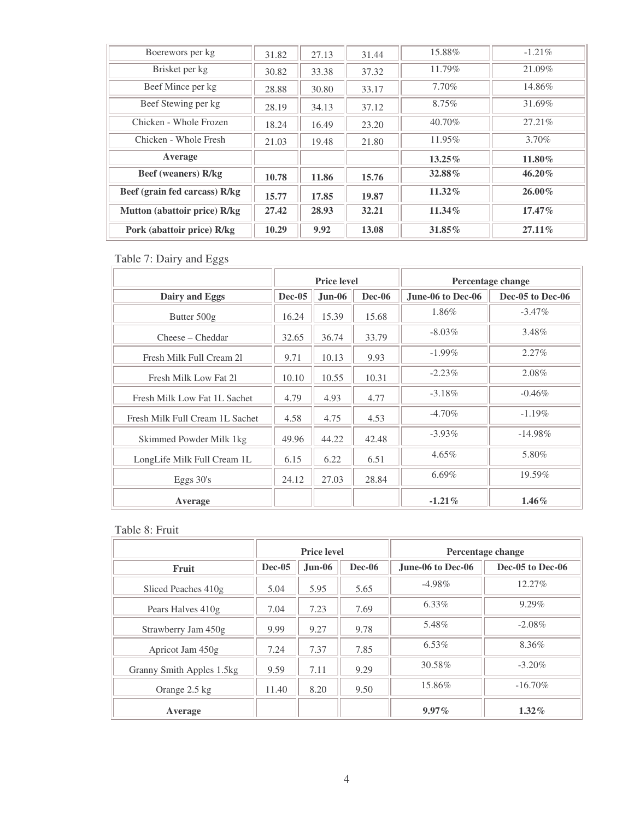| Boerewors per kg              | 31.82 | 27.13 | 31.44 | 15.88%    | $-1.21\%$ |
|-------------------------------|-------|-------|-------|-----------|-----------|
| Brisket per kg                | 30.82 | 33.38 | 37.32 | 11.79%    | 21.09%    |
| Beef Mince per kg             | 28.88 | 30.80 | 33.17 | $7.70\%$  | 14.86%    |
| Beef Stewing per kg           | 28.19 | 34.13 | 37.12 | 8.75%     | 31.69%    |
| Chicken - Whole Frozen        | 18.24 | 16.49 | 23.20 | $40.70\%$ | 27.21%    |
| Chicken - Whole Fresh         | 21.03 | 19.48 | 21.80 | 11.95%    | $3.70\%$  |
| Average                       |       |       |       | $13.25\%$ | 11.80%    |
| <b>Beef</b> (weaners) R/kg    | 10.78 | 11.86 | 15.76 | 32.88%    | $46.20\%$ |
| Beef (grain fed carcass) R/kg | 15.77 | 17.85 | 19.87 | $11.32\%$ | $26.00\%$ |
| Mutton (abattoir price) R/kg  | 27.42 | 28.93 | 32.21 | $11.34\%$ | $17.47\%$ |
| Pork (abattoir price) R/kg    | 10.29 | 9.92  | 13.08 | 31.85%    | $27.11\%$ |

Table 7: Dairy and Eggs

|                                 | <b>Price level</b> |          |               | Percentage change |                  |
|---------------------------------|--------------------|----------|---------------|-------------------|------------------|
| Dairy and Eggs                  | $Dec-05$           | $Jun-06$ | <b>Dec-06</b> | June-06 to Dec-06 | Dec-05 to Dec-06 |
| Butter $500g$                   | 16.24              | 15.39    | 15.68         | 1.86%             | $-3.47\%$        |
| Cheese – Cheddar                | 32.65              | 36.74    | 33.79         | $-8.03\%$         | 3.48%            |
| Fresh Milk Full Cream 21        | 9.71               | 10.13    | 9.93          | $-1.99\%$         | $2.27\%$         |
| Fresh Milk Low Fat 21           | 10.10              | 10.55    | 10.31         | $-2.23%$          | 2.08%            |
| Fresh Milk Low Fat 1L Sachet    | 4.79               | 4.93     | 4.77          | $-3.18\%$         | $-0.46\%$        |
| Fresh Milk Full Cream 1L Sachet | 4.58               | 4.75     | 4.53          | $-4.70\%$         | $-1.19\%$        |
| Skimmed Powder Milk 1 kg        | 49.96              | 44.22    | 42.48         | $-3.93\%$         | $-14.98\%$       |
| LongLife Milk Full Cream 1L     | 6.15               | 6.22     | 6.51          | $4.65\%$          | 5.80%            |
| Eggs $30's$                     | 24.12              | 27.03    | 28.84         | 6.69%             | 19.59%           |
| Average                         |                    |          |               | $-1.21\%$         | $1.46\%$         |

# Table 8: Fruit

|                           |        | <b>Price level</b> |               | Percentage change |                  |  |
|---------------------------|--------|--------------------|---------------|-------------------|------------------|--|
| Fruit                     | Dec-05 | $Jun-06$           | <b>Dec-06</b> | June-06 to Dec-06 | Dec-05 to Dec-06 |  |
| Sliced Peaches 410g       | 5.04   | 5.95               | 5.65          | $-4.98\%$         | 12.27%           |  |
| Pears Halves 410g         | 7.04   | 7.23               | 7.69          | $6.33\%$          | $9.29\%$         |  |
| Strawberry Jam 450g       | 9.99   | 9.27               | 9.78          | 5.48%             | $-2.08\%$        |  |
| Apricot Jam 450g          | 7.24   | 7.37               | 7.85          | $6.53\%$          | 8.36%            |  |
| Granny Smith Apples 1.5kg | 9.59   | 7.11               | 9.29          | 30.58%            | $-3.20\%$        |  |
| Orange 2.5 kg             | 11.40  | 8.20               | 9.50          | 15.86%            | $-16.70\%$       |  |
| Average                   |        |                    |               | $9.97\%$          | $1.32\%$         |  |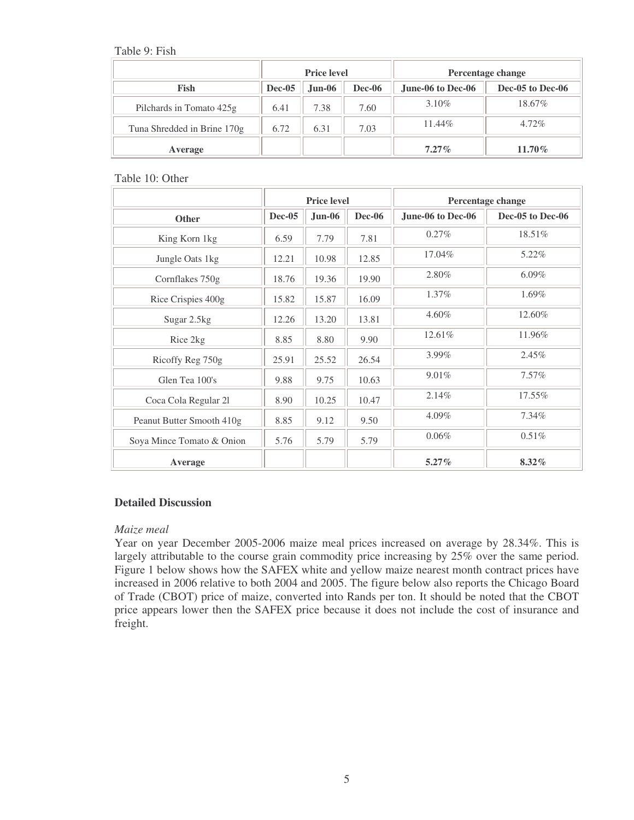Table 9: Fish

|                             |                                | <b>Price level</b> |      | Percentage change |                  |  |
|-----------------------------|--------------------------------|--------------------|------|-------------------|------------------|--|
| <b>Fish</b>                 | $Dec-05$<br>$Jun-06$<br>Dec-06 |                    |      | June-06 to Dec-06 | Dec-05 to Dec-06 |  |
| Pilchards in Tomato 425g    | 6.41                           | 7.38               | 7.60 | 3.10%             | 18.67%           |  |
| Tuna Shredded in Brine 170g | 6.72                           | 6.31               | 7.03 | $11.44\%$         | $4.72\%$         |  |
| Average                     |                                |                    |      | $7.27\%$          | $11.70\%$        |  |

Table 10: Other

|                           | <b>Price level</b> |          |               | Percentage change |                  |  |
|---------------------------|--------------------|----------|---------------|-------------------|------------------|--|
| <b>Other</b>              | <b>Dec-05</b>      | $Jun-06$ | <b>Dec-06</b> | June-06 to Dec-06 | Dec-05 to Dec-06 |  |
| King Korn 1kg             | 6.59               | 7.79     | 7.81          | 0.27%             | 18.51%           |  |
| Jungle Oats 1kg           | 12.21              | 10.98    | 12.85         | 17.04%            | 5.22%            |  |
| Cornflakes 750g           | 18.76              | 19.36    | 19.90         | 2.80%             | $6.09\%$         |  |
| Rice Crispies 400g        | 15.82              | 15.87    | 16.09         | $1.37\%$          | 1.69%            |  |
| Sugar 2.5kg               | 12.26              | 13.20    | 13.81         | 4.60%             | 12.60%           |  |
| Rice 2kg                  | 8.85               | 8.80     | 9.90          | 12.61%            | 11.96%           |  |
| Ricoffy Reg 750g          | 25.91              | 25.52    | 26.54         | 3.99%             | 2.45%            |  |
| Glen Tea 100's            | 9.88               | 9.75     | 10.63         | 9.01%             | 7.57%            |  |
| Coca Cola Regular 21      | 8.90               | 10.25    | 10.47         | 2.14%             | 17.55%           |  |
| Peanut Butter Smooth 410g | 8.85               | 9.12     | 9.50          | $4.09\%$          | $7.34\%$         |  |
| Soya Mince Tomato & Onion | 5.76               | 5.79     | 5.79          | 0.06%             | 0.51%            |  |
| Average                   |                    |          |               | $5.27\%$          | 8.32%            |  |

### **Detailed Discussion**

### *Maize meal*

Year on year December 2005-2006 maize meal prices increased on average by 28.34%. This is largely attributable to the course grain commodity price increasing by 25% over the same period. Figure 1 below shows how the SAFEX white and yellow maize nearest month contract prices have increased in 2006 relative to both 2004 and 2005. The figure below also reports the Chicago Board of Trade (CBOT) price of maize, converted into Rands per ton. It should be noted that the CBOT price appears lower then the SAFEX price because it does not include the cost of insurance and freight.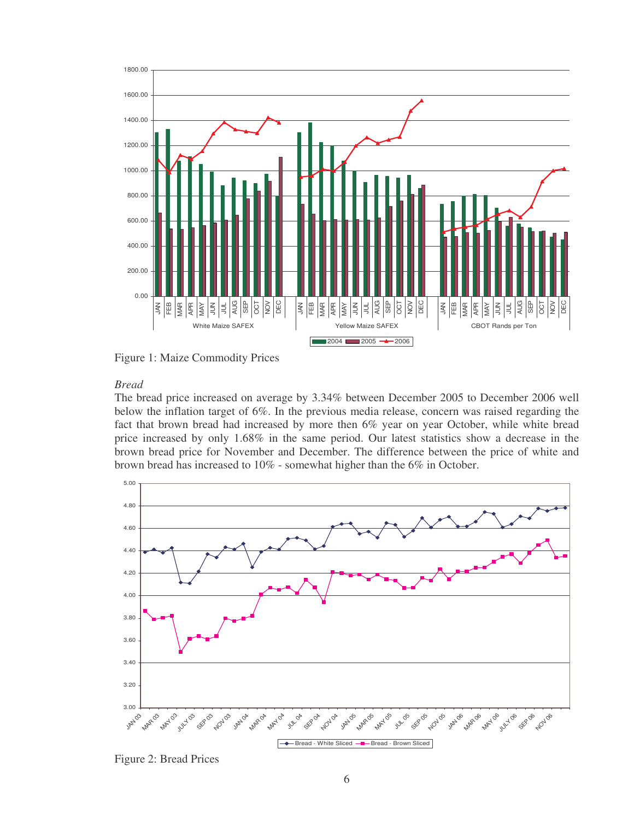

Figure 1: Maize Commodity Prices

### *Bread*

The bread price increased on average by 3.34% between December 2005 to December 2006 well below the inflation target of 6%. In the previous media release, concern was raised regarding the fact that brown bread had increased by more then 6% year on year October, while white bread price increased by only 1.68% in the same period. Our latest statistics show a decrease in the brown bread price for November and December. The difference between the price of white and brown bread has increased to 10% - somewhat higher than the 6% in October.



Figure 2: Bread Prices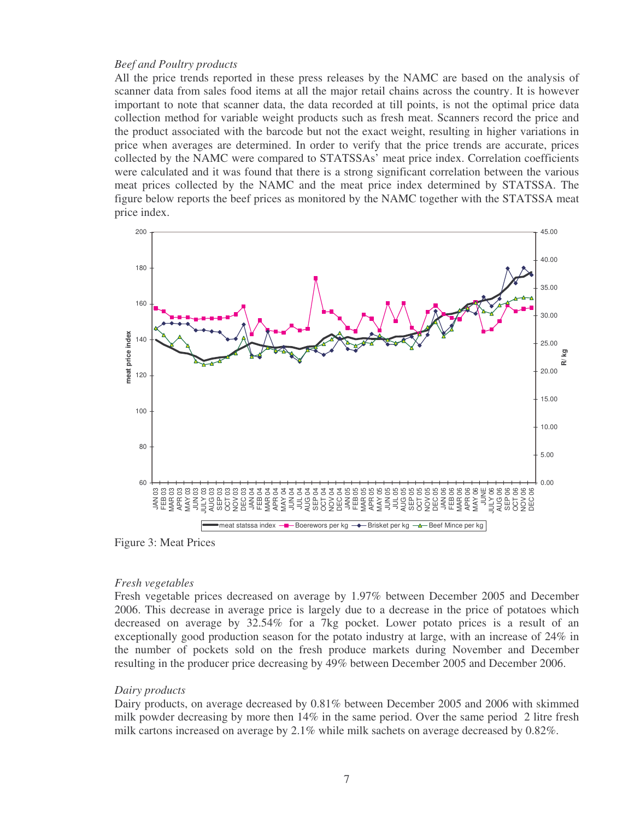### *Beef and Poultry products*

All the price trends reported in these press releases by the NAMC are based on the analysis of scanner data from sales food items at all the major retail chains across the country. It is however important to note that scanner data, the data recorded at till points, is not the optimal price data collection method for variable weight products such as fresh meat. Scanners record the price and the product associated with the barcode but not the exact weight, resulting in higher variations in price when averages are determined. In order to verify that the price trends are accurate, prices collected by the NAMC were compared to STATSSAs' meat price index. Correlation coefficients were calculated and it was found that there is a strong significant correlation between the various meat prices collected by the NAMC and the meat price index determined by STATSSA. The figure below reports the beef prices as monitored by the NAMC together with the STATSSA meat price index.



Figure 3: Meat Prices

### *Fresh vegetables*

Fresh vegetable prices decreased on average by 1.97% between December 2005 and December 2006. This decrease in average price is largely due to a decrease in the price of potatoes which decreased on average by 32.54% for a 7kg pocket. Lower potato prices is a result of an exceptionally good production season for the potato industry at large, with an increase of 24% in the number of pockets sold on the fresh produce markets during November and December resulting in the producer price decreasing by 49% between December 2005 and December 2006.

### *Dairy products*

Dairy products, on average decreased by 0.81% between December 2005 and 2006 with skimmed milk powder decreasing by more then 14% in the same period. Over the same period 2 litre fresh milk cartons increased on average by 2.1% while milk sachets on average decreased by 0.82%.